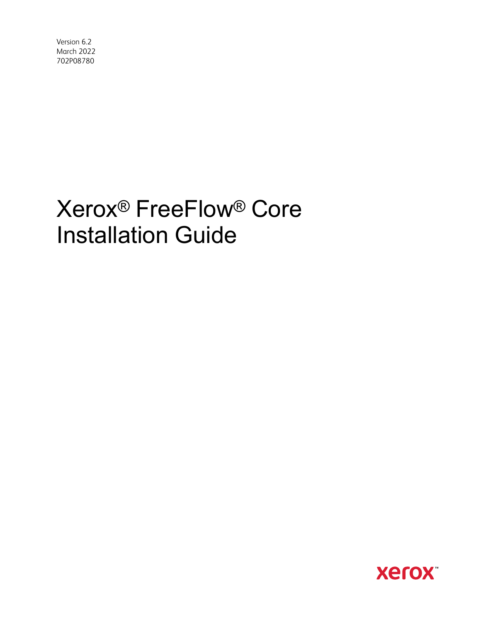Version 6.2 March 2022 702P08780

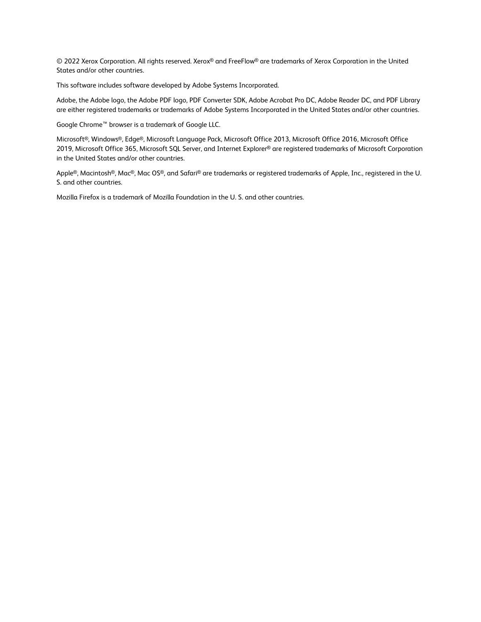© 2022 Xerox Corporation. All rights reserved. Xerox® and FreeFlow® are trademarks of Xerox Corporation in the United States and/or other countries.

This software includes software developed by Adobe Systems Incorporated.

Adobe, the Adobe logo, the Adobe PDF logo, PDF Converter SDK, Adobe Acrobat Pro DC, Adobe Reader DC, and PDF Library are either registered trademarks or trademarks of Adobe Systems Incorporated in the United States and/or other countries.

Google Chrome™ browser is a trademark of Google LLC.

Microsoft®, Windows®, Edge®, Microsoft Language Pack, Microsoft Office 2013, Microsoft Office 2016, Microsoft Office 2019, Microsoft Office 365, Microsoft SQL Server, and Internet Explorer® are registered trademarks of Microsoft Corporation in the United States and/or other countries.

Apple®, Macintosh®, Mac®, Mac OS®, and Safari® are trademarks or registered trademarks of Apple, Inc., registered in the U. S. and other countries.

Mozilla Firefox is a trademark of Mozilla Foundation in the U. S. and other countries.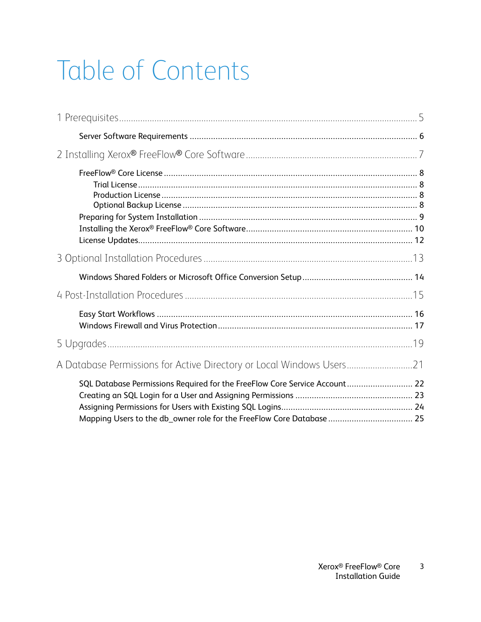## Table of Contents

| A Database Permissions for Active Directory or Local Windows Users21                                                                                |  |
|-----------------------------------------------------------------------------------------------------------------------------------------------------|--|
| SQL Database Permissions Required for the FreeFlow Core Service Account 22<br>Mapping Users to the db_owner role for the FreeFlow Core Database  25 |  |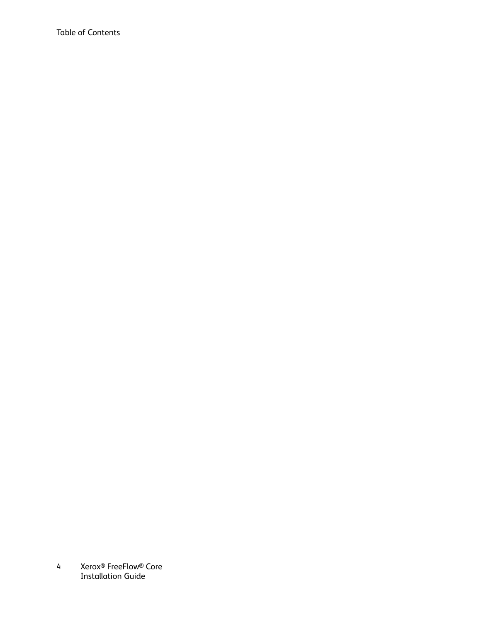Table of Contents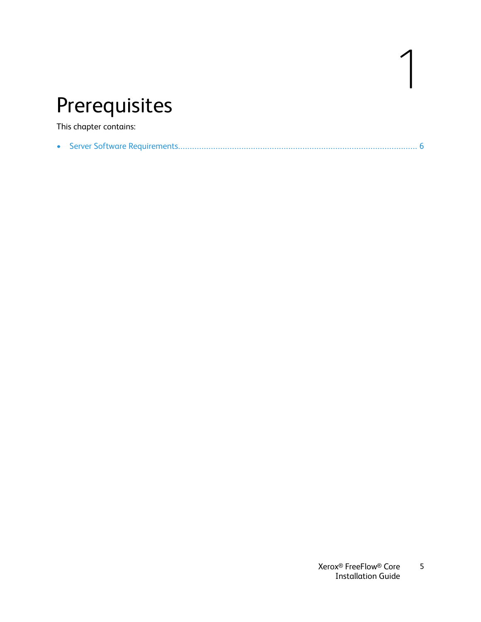## <span id="page-4-0"></span>Prerequisites

This chapter contains:

|--|--|--|

1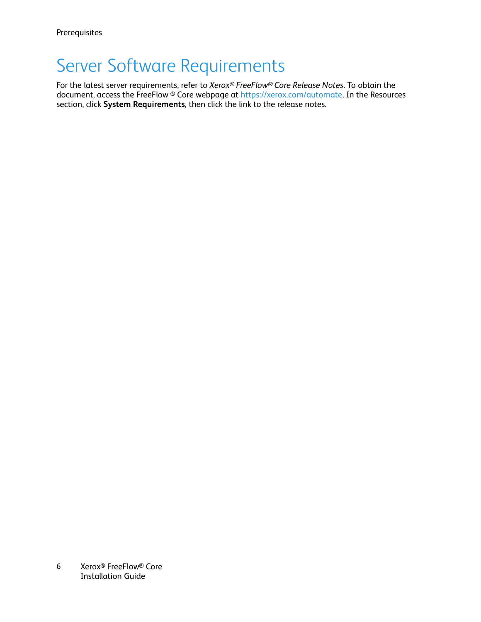### <span id="page-5-0"></span>Server Software Requirements

For the latest server requirements, refer to *Xerox*® *FreeFlow*® *Core Release Notes*. To obtain the document, access the FreeFlow ® Core webpage at [https://xerox.com/automate.](http://xerox.com/automate) In the Resources section, click **System Requirements**, then click the link to the release notes.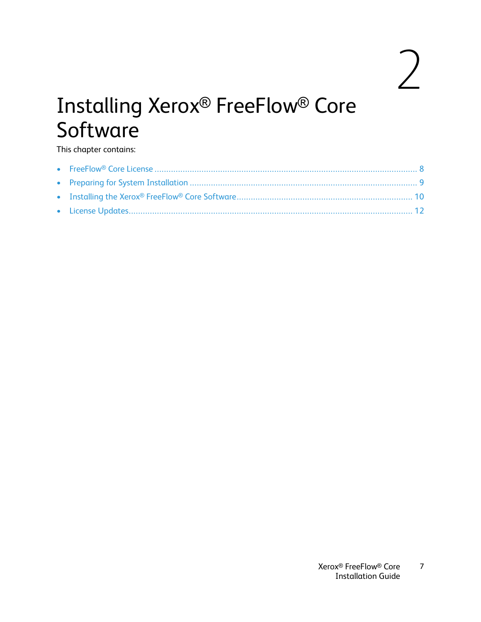## $\bigg)$

## <span id="page-6-0"></span>Installing Xerox® FreeFlow® Core Software

This chapter contains: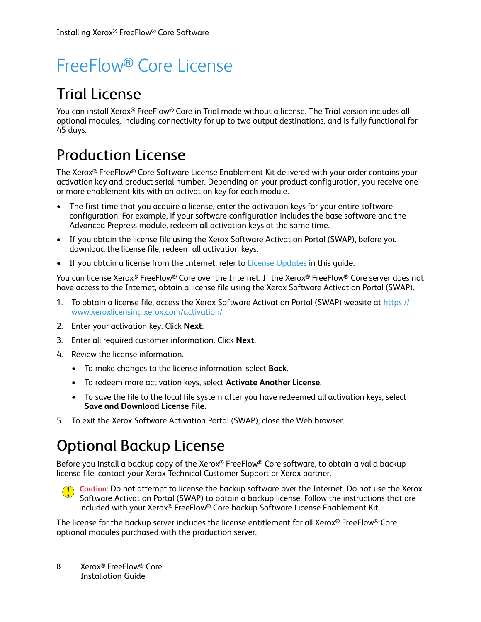### <span id="page-7-0"></span>FreeFlow® Core License

#### <span id="page-7-1"></span>Trial License

You can install Xerox® FreeFlow® Core in Trial mode without a license. The Trial version includes all optional modules, including connectivity for up to two output destinations, and is fully functional for 45 days.

#### <span id="page-7-2"></span>Production License

The Xerox® FreeFlow® Core Software License Enablement Kit delivered with your order contains your activation key and product serial number. Depending on your product configuration, you receive one or more enablement kits with an activation key for each module.

- The first time that you acquire a license, enter the activation keys for your entire software configuration. For example, if your software configuration includes the base software and the Advanced Prepress module, redeem all activation keys at the same time.
- If you obtain the license file using the Xerox Software Activation Portal (SWAP), before you download the license file, redeem all activation keys.
- If you obtain a license from the Internet, refer to License [Updates](#page-11-0) in this guide.

You can license Xerox® FreeFlow® Core over the Internet. If the Xerox® FreeFlow® Core server does not have access to the Internet, obtain a license file using the Xerox Software Activation Portal (SWAP).

- 1. To obtain a license file, access the Xerox Software Activation Portal (SWAP) website at [https://](https://www.xeroxlicensing.xerox.com/activation/) [www.xeroxlicensing.xerox.com/activation/](https://www.xeroxlicensing.xerox.com/activation/)
- 2. Enter your activation key. Click **Next**.
- 3. Enter all required customer information. Click **Next**.
- 4. Review the license information.
	- To make changes to the license information, select **Back**.
	- To redeem more activation keys, select **Activate Another License**.
	- To save the file to the local file system after you have redeemed all activation keys, select **Save and Download License File**.
- 5. To exit the Xerox Software Activation Portal (SWAP), close the Web browser.

#### <span id="page-7-3"></span>Optional Backup License

Before you install a backup copy of the Xerox® FreeFlow® Core software, to obtain a valid backup license file, contact your Xerox Technical Customer Support or Xerox partner.

**Caution:** Do not attempt to license the backup software over the Internet. Do not use the Xerox Software Activation Portal (SWAP) to obtain a backup license. Follow the instructions that are included with your Xerox® FreeFlow® Core backup Software License Enablement Kit.

The license for the backup server includes the license entitlement for all Xerox® FreeFlow® Core optional modules purchased with the production server.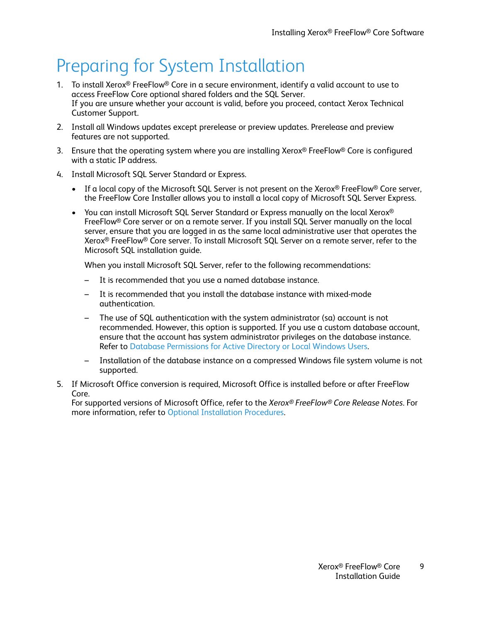### <span id="page-8-0"></span>Preparing for System Installation

- 1. To install Xerox<sup>®</sup> FreeFlow<sup>®</sup> Core in a secure environment, identify a valid account to use to access FreeFlow Core optional shared folders and the SQL Server. If you are unsure whether your account is valid, before you proceed, contact Xerox Technical Customer Support.
- 2. Install all Windows updates except prerelease or preview updates. Prerelease and preview features are not supported.
- 3. Ensure that the operating system where you are installing Xerox® FreeFlow® Core is configured with a static IP address.
- 4. Install Microsoft SQL Server Standard or Express.
	- If a local copy of the Microsoft SQL Server is not present on the Xerox® FreeFlow® Core server, the FreeFlow Core Installer allows you to install a local copy of Microsoft SQL Server Express.
	- You can install Microsoft SQL Server Standard or Express manually on the local Xerox® FreeFlow® Core server or on a remote server. If you install SQL Server manually on the local server, ensure that you are logged in as the same local administrative user that operates the Xerox® FreeFlow® Core server. To install Microsoft SQL Server on a remote server, refer to the Microsoft SQL installation guide.

When you install Microsoft SQL Server, refer to the following recommendations:

- It is recommended that you use a named database instance.
- It is recommended that you install the database instance with mixed-mode authentication.
- The use of SQL authentication with the system administrator (sa) account is not recommended. However, this option is supported. If you use a custom database account, ensure that the account has system administrator privileges on the database instance. Refer to Database [Permissions](#page-20-0) for Active Directory or Local Windows Users.
- Installation of the database instance on a compressed Windows file system volume is not supported.
- 5. If Microsoft Office conversion is required, Microsoft Office is installed before or after FreeFlow Core.

For supported versions of Microsoft Office, refer to the *Xerox*® *FreeFlow*® *Core Release Notes*. For more information, refer to Optional [Installation](#page-12-0) Procedures.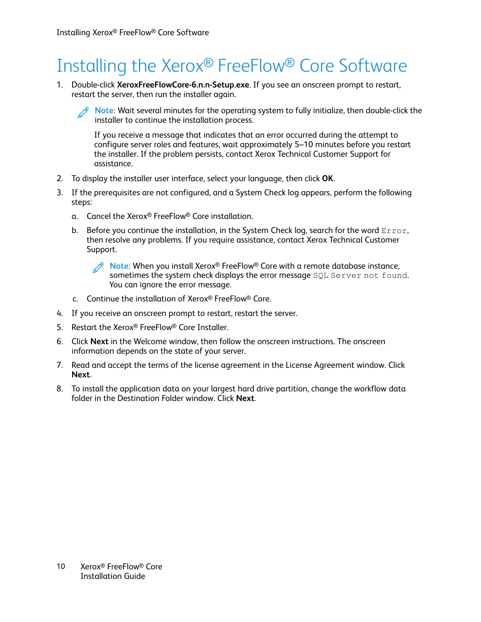### <span id="page-9-0"></span>Installing the Xerox® FreeFlow® Core Software

1. Double-click **XeroxFreeFlowCore-6.n.n-Setup.exe**. If you see an onscreen prompt to restart, restart the server, then run the installer again.

**Note:** Wait several minutes for the operating system to fully initialize, then double-click the installer to continue the installation process.

If you receive a message that indicates that an error occurred during the attempt to configure server roles and features, wait approximately 5–10 minutes before you restart the installer. If the problem persists, contact Xerox Technical Customer Support for assistance.

- 2. To display the installer user interface, select your language, then click **OK**.
- 3. If the prerequisites are not configured, and a System Check log appears, perform the following steps:
	- a. Cancel the Xerox® FreeFlow® Core installation.
	- b. Before you continue the installation, in the System Check log, search for the word  $Error$ , then resolve any problems. If you require assistance, contact Xerox Technical Customer Support.

**Note:** When you install Xerox® FreeFlow® Core with a remote database instance, sometimes the system check displays the error message SOL Server not found. You can ignore the error message.

- c. Continue the installation of Xerox® FreeFlow® Core.
- 4. If you receive an onscreen prompt to restart, restart the server.
- 5. Restart the Xerox® FreeFlow® Core Installer.
- 6. Click **Next** in the Welcome window, then follow the onscreen instructions. The onscreen information depends on the state of your server.
- 7. Read and accept the terms of the license agreement in the License Agreement window. Click **Next**.
- 8. To install the application data on your largest hard drive partition, change the workflow data folder in the Destination Folder window. Click **Next**.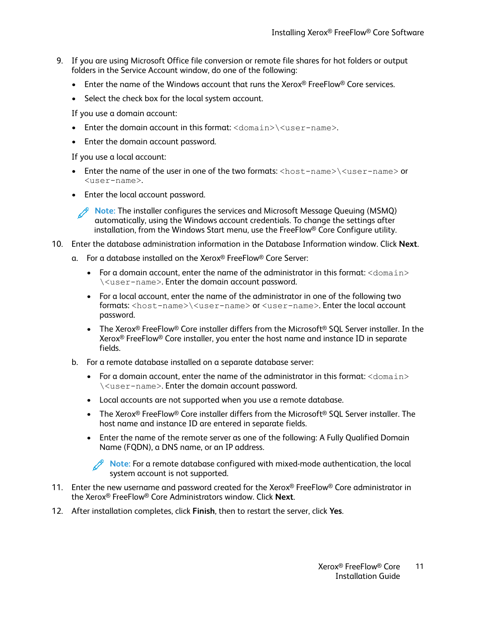- 9. If you are using Microsoft Office file conversion or remote file shares for hot folders or output folders in the Service Account window, do one of the following:
	- Enter the name of the Windows account that runs the Xerox® FreeFlow® Core services.
	- Select the check box for the local system account.

If you use a domain account:

- Enter the domain account in this format: <domain>\<user-name>.
- Enter the domain account password.

If you use a local account:

- Enter the name of the user in one of the two formats:  $\langle \text{host-name}\rangle\langle \text{user-name}\rangle$  or <user-name>.
- Enter the local account password.

**Note:** The installer configures the services and Microsoft Message Queuing (MSMQ) automatically, using the Windows account credentials. To change the settings after installation, from the Windows Start menu, use the FreeFlow® Core Configure utility.

- 10. Enter the database administration information in the Database Information window. Click **Next**.
	- a. For a database installed on the Xerox® FreeFlow® Core Server:
		- For a domain account, enter the name of the administrator in this format:  $\langle$  domain $\rangle$ \<user-name>. Enter the domain account password.
		- For a local account, enter the name of the administrator in one of the following two formats: <host-name>\<user-name> or <user-name>. Enter the local account password.
		- The Xerox® FreeFlow® Core installer differs from the Microsoft® SQL Server installer. In the Xerox® FreeFlow® Core installer, you enter the host name and instance ID in separate fields.
	- b. For a remote database installed on a separate database server:
		- For a domain account, enter the name of the administrator in this format:  $\langle$  domain> \<user-name>. Enter the domain account password.
		- Local accounts are not supported when you use a remote database.
		- The Xerox® FreeFlow® Core installer differs from the Microsoft® SQL Server installer. The host name and instance ID are entered in separate fields.
		- Enter the name of the remote server as one of the following: A Fully Qualified Domain Name (FQDN), a DNS name, or an IP address.

**Note:** For a remote database configured with mixed-mode authentication, the local system account is not supported.

- 11. Enter the new username and password created for the Xerox® FreeFlow® Core administrator in the Xerox® FreeFlow® Core Administrators window. Click **Next**.
- 12. After installation completes, click **Finish**, then to restart the server, click **Yes**.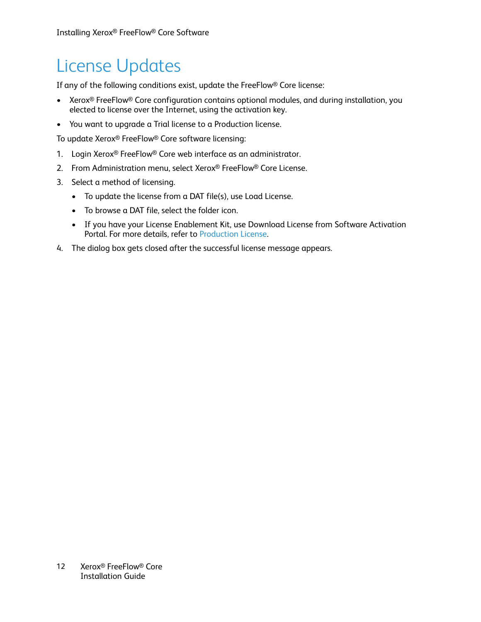### <span id="page-11-0"></span>License Updates

If any of the following conditions exist, update the FreeFlow® Core license:

- Xerox<sup>®</sup> FreeFlow<sup>®</sup> Core configuration contains optional modules, and during installation, you elected to license over the Internet, using the activation key.
- You want to upgrade a Trial license to a Production license.

To update Xerox® FreeFlow® Core software licensing:

- 1. Login Xerox® FreeFlow® Core web interface as an administrator.
- 2. From Administration menu, select Xerox® FreeFlow® Core License.
- 3. Select a method of licensing.
	- To update the license from a DAT file(s), use Load License.
	- To browse a DAT file, select the folder icon.
	- If you have your License Enablement Kit, use Download License from Software Activation Portal. For more details, refer to [Production](#page-7-2) License.
- 4. The dialog box gets closed after the successful license message appears.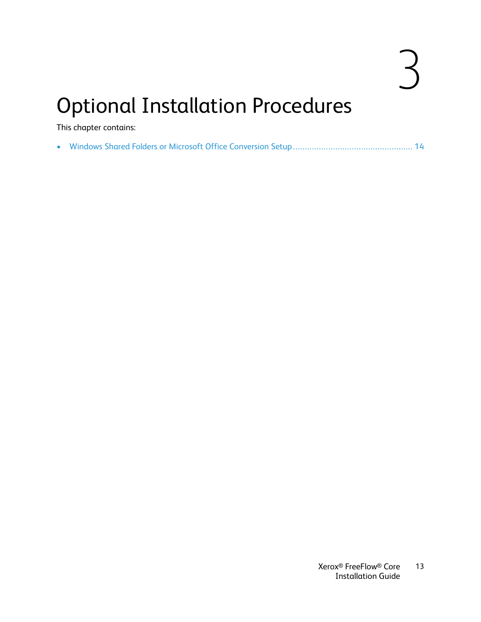3

## <span id="page-12-0"></span>Optional Installation Procedures

This chapter contains: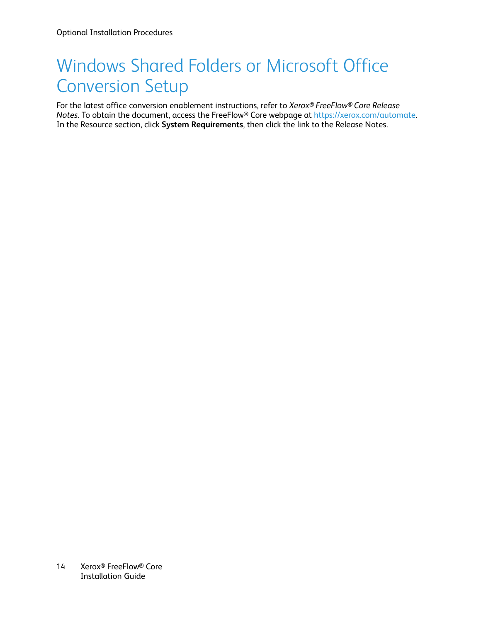### <span id="page-13-0"></span>Windows Shared Folders or Microsoft Office Conversion Setup

For the latest office conversion enablement instructions, refer to *Xerox*® *FreeFlow*® *Core Release Notes*. To obtain the document, access the FreeFlow® Core webpage at [https://xerox.com/automate]( https://xerox.com/automate). In the Resource section, click **System Requirements**, then click the link to the Release Notes.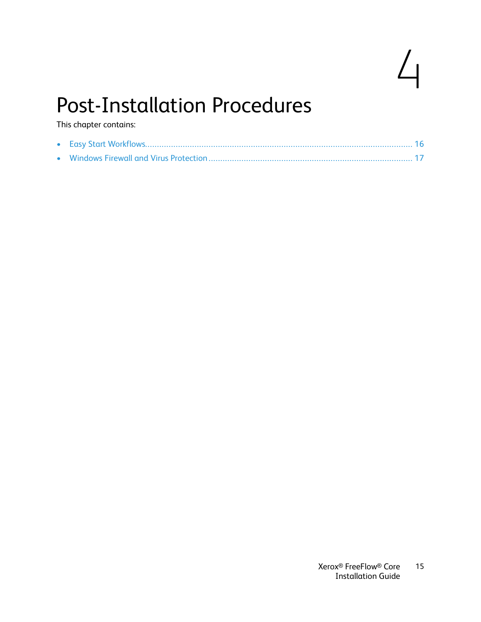## $\sqrt{2}$

### <span id="page-14-0"></span>Post-Installation Procedures

This chapter contains: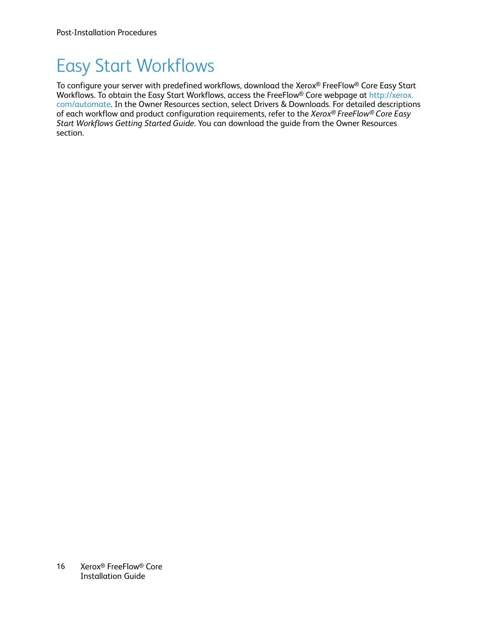### <span id="page-15-0"></span>Easy Start Workflows

To configure your server with predefined workflows, download the Xerox® FreeFlow® Core Easy Start Workflows. To obtain the Easy Start Workflows, access the FreeFlow® Core webpage at [http://xerox.](http://xerox.com/automate) [com/automate.](http://xerox.com/automate) In the Owner Resources section, select Drivers & Downloads. For detailed descriptions of each workflow and product configuration requirements, refer to the *Xerox*® *FreeFlow*® *Core Easy Start Workflows Getting Started Guide*. You can download the guide from the Owner Resources section.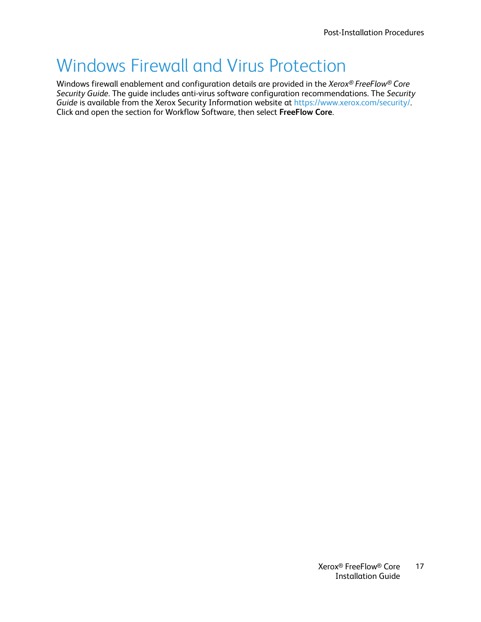### <span id="page-16-0"></span>Windows Firewall and Virus Protection

Windows firewall enablement and configuration details are provided in the *Xerox*® *FreeFlow*® *Core Security Guide*. The guide includes anti-virus software configuration recommendations. The *Security Guide* is available from the Xerox Security Information website at <https://www.xerox.com/security/>. Click and open the section for Workflow Software, then select **FreeFlow Core**.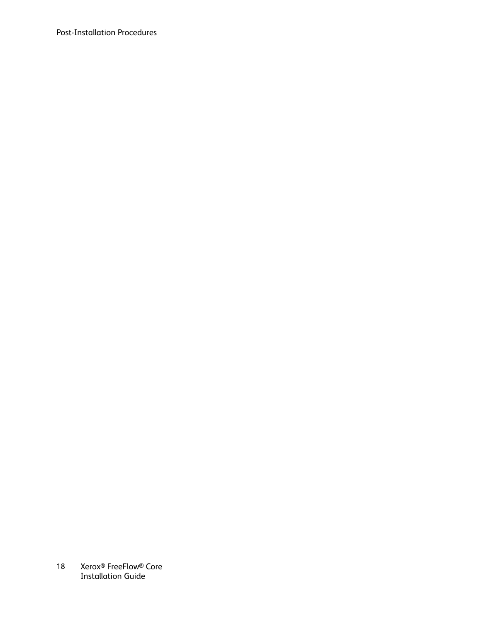[Post-Installation](#page-14-0) Procedures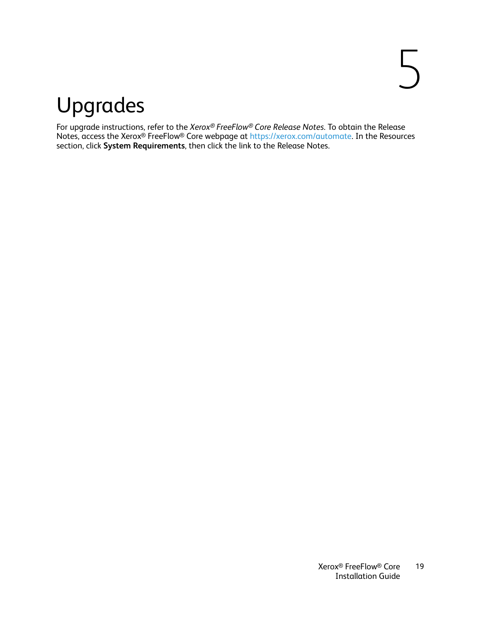## $\sqrt{}$

## <span id="page-18-0"></span>Upgrades

For upgrade instructions, refer to the *Xerox*® *FreeFlow*® *Core Release Notes*. To obtain the Release Notes, access the Xerox® FreeFlow® Core webpage at [https://xerox.com/automate.](http://xerox.com/automate) In the Resources section, click **System Requirements**, then click the link to the Release Notes.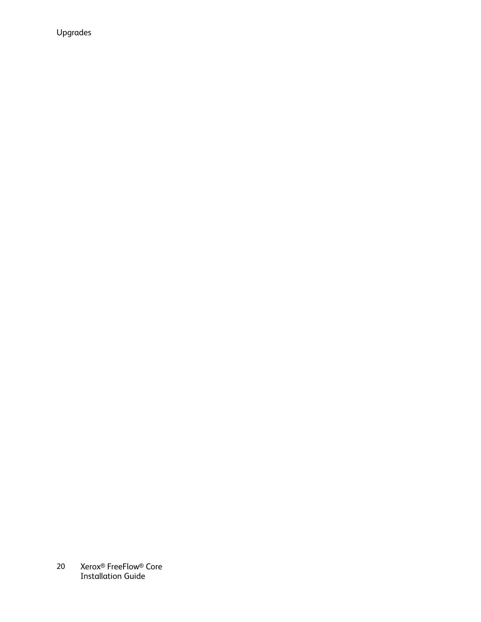[Upgrades](#page-18-0)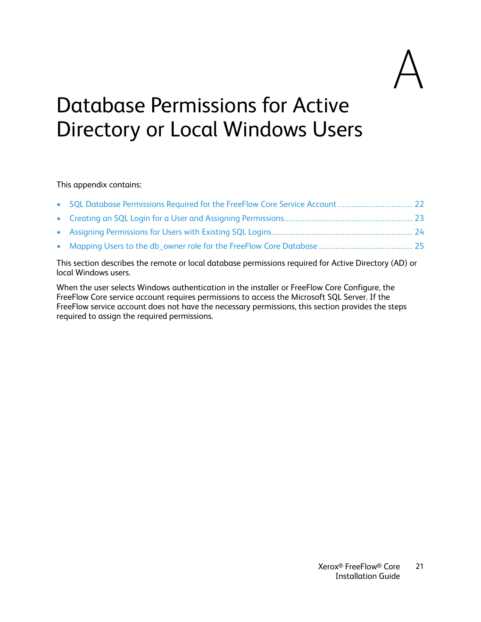# A

### <span id="page-20-0"></span>Database Permissions for Active Directory or Local Windows Users

#### This appendix contains:

| • SQL Database Permissions Required for the FreeFlow Core Service Account 22 |  |
|------------------------------------------------------------------------------|--|
|                                                                              |  |
|                                                                              |  |
|                                                                              |  |

This section describes the remote or local database permissions required for Active Directory (AD) or local Windows users.

When the user selects Windows authentication in the installer or FreeFlow Core Configure, the FreeFlow Core service account requires permissions to access the Microsoft SQL Server. If the FreeFlow service account does not have the necessary permissions, this section provides the steps required to assign the required permissions.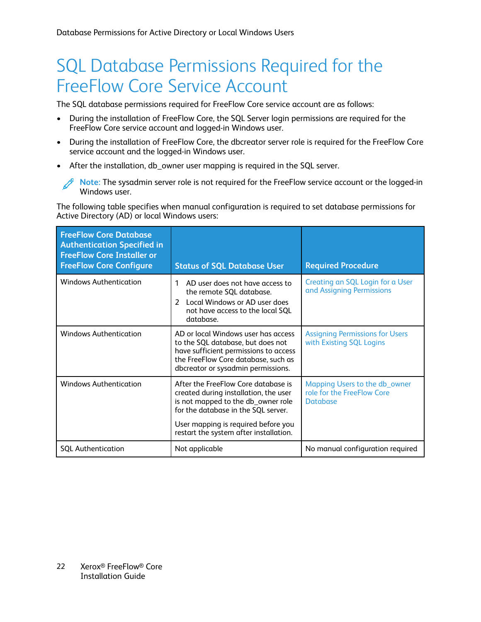### <span id="page-21-0"></span>SQL Database Permissions Required for the FreeFlow Core Service Account

The SQL database permissions required for FreeFlow Core service account are as follows:

- During the installation of FreeFlow Core, the SQL Server login permissions are required for the FreeFlow Core service account and logged-in Windows user.
- During the installation of FreeFlow Core, the dbcreator server role is required for the FreeFlow Core service account and the logged-in Windows user.
- After the installation, db owner user mapping is required in the SQL server.

**Note:** The sysadmin server role is not required for the FreeFlow service account or the logged-in Windows user.

The following table specifies when manual configuration is required to set database permissions for Active Directory (AD) or local Windows users:

| <b>FreeFlow Core Database</b><br><b>Authentication Specified in</b><br><b>FreeFlow Core Installer or</b><br><b>FreeFlow Core Configure</b> | <b>Status of SQL Database User</b>                                                                                                                                                                                                         | <b>Required Procedure</b>                                                      |
|--------------------------------------------------------------------------------------------------------------------------------------------|--------------------------------------------------------------------------------------------------------------------------------------------------------------------------------------------------------------------------------------------|--------------------------------------------------------------------------------|
| <b>Windows Authentication</b>                                                                                                              | AD user does not have access to<br>1<br>the remote SQL database.<br>Local Windows or AD user does<br>$\mathcal{P}$<br>not have access to the local SQL<br>database.                                                                        | Creating an SQL Login for a User<br>and Assigning Permissions                  |
| <b>Windows Authentication</b>                                                                                                              | AD or local Windows user has access<br>to the SQL database, but does not<br>have sufficient permissions to access<br>the FreeFlow Core database, such as<br>dbcreator or sysadmin permissions.                                             | <b>Assigning Permissions for Users</b><br>with Existing SQL Logins             |
| <b>Windows Authentication</b>                                                                                                              | After the FreeFlow Core database is<br>created during installation, the user<br>is not mapped to the db_owner role<br>for the database in the SQL server.<br>User mapping is required before you<br>restart the system after installation. | Mapping Users to the db_owner<br>role for the FreeFlow Core<br><b>Database</b> |
| <b>SQL Authentication</b>                                                                                                                  | Not applicable                                                                                                                                                                                                                             | No manual configuration required                                               |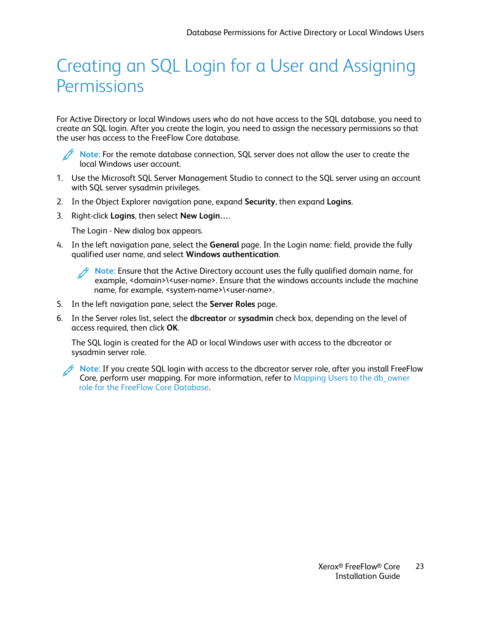### <span id="page-22-0"></span>Creating an SQL Login for a User and Assigning Permissions

For Active Directory or local Windows users who do not have access to the SQL database, you need to create an SQL login. After you create the login, you need to assign the necessary permissions so that the user has access to the FreeFlow Core database.

**Note:** For the remote database connection, SQL server does not allow the user to create the local Windows user account.

- 1. Use the Microsoft SQL Server Management Studio to connect to the SQL server using an account with SQL server sysadmin privileges.
- 2. In the Object Explorer navigation pane, expand **Security**, then expand **Logins**.
- 3. Right-click **Logins**, then select **New Login…**.

The Login - New dialog box appears.

- 4. In the left navigation pane, select the **General** page. In the Login name: field, provide the fully qualified user name, and select **Windows authentication**.
	- **Note:** Ensure that the Active Directory account uses the fully qualified domain name, for example, <domain>\<user-name>. Ensure that the windows accounts include the machine name, for example, <system-name>\<user-name>.
- 5. In the left navigation pane, select the **Server Roles** page.
- 6. In the Server roles list, select the **dbcreator** or **sysadmin** check box, depending on the level of access required, then click **OK**.

The SQL login is created for the AD or local Windows user with access to the dbcreator or sysadmin server role.



**Note:** If you create SQL login with access to the dbcreator server role, after you install FreeFlow Core, perform user mapping. For more information, refer to Mapping Users to the db owner role for the FreeFlow Core [Database.](#page-24-0)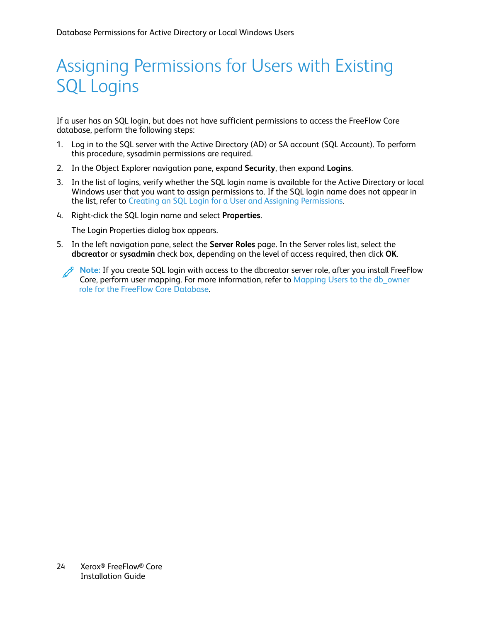### <span id="page-23-0"></span>Assigning Permissions for Users with Existing SQL Logins

If a user has an SQL login, but does not have sufficient permissions to access the FreeFlow Core database, perform the following steps:

- 1. Log in to the SQL server with the Active Directory (AD) or SA account (SQL Account). To perform this procedure, sysadmin permissions are required.
- 2. In the Object Explorer navigation pane, expand **Security**, then expand **Logins**.
- 3. In the list of logins, verify whether the SQL login name is available for the Active Directory or local Windows user that you want to assign permissions to. If the SQL login name does not appear in the list, refer to Creating an SQL Login for a User and Assigning [Permissions](#page-22-0).
- 4. Right-click the SQL login name and select **Properties**.

The Login Properties dialog box appears.

- 5. In the left navigation pane, select the **Server Roles** page. In the Server roles list, select the **dbcreator** or **sysadmin** check box, depending on the level of access required, then click **OK**.
	- **Note:** If you create SQL login with access to the dbcreator server role, after you install FreeFlow Core, perform user mapping. For more information, refer to Mapping Users to the db owner role for the FreeFlow Core [Database.](#page-24-0)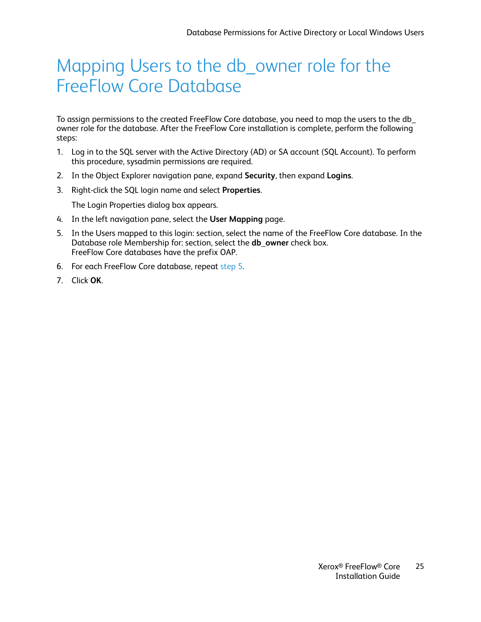### <span id="page-24-0"></span>Mapping Users to the db\_owner role for the FreeFlow Core Database

To assign permissions to the created FreeFlow Core database, you need to map the users to the db\_ owner role for the database. After the FreeFlow Core installation is complete, perform the following steps:

- 1. Log in to the SQL server with the Active Directory (AD) or SA account (SQL Account). To perform this procedure, sysadmin permissions are required.
- 2. In the Object Explorer navigation pane, expand **Security**, then expand **Logins**.
- 3. Right-click the SQL login name and select **Properties**.

The Login Properties dialog box appears.

- 4. In the left navigation pane, select the **User Mapping** page.
- <span id="page-24-1"></span>5. In the Users mapped to this login: section, select the name of the FreeFlow Core database. In the Database role Membership for: section, select the **db\_owner** check box. FreeFlow Core databases have the prefix OAP.
- 6. For each FreeFlow Core database, repeat [step](#page-24-1) 5.
- 7. Click **OK**.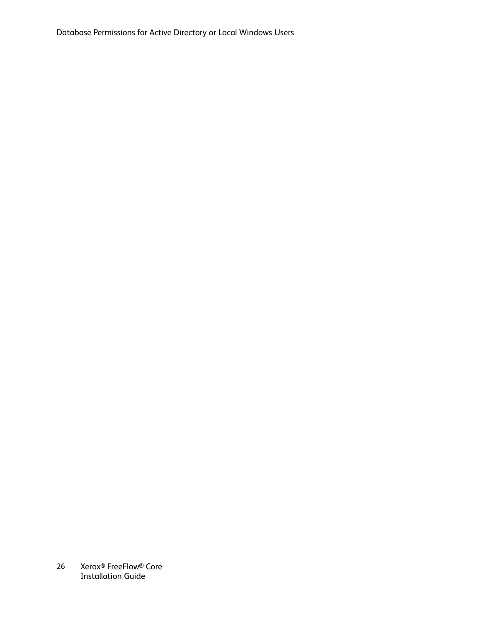Database [Permissions](#page-20-0) for Active Directory or Local Windows Users